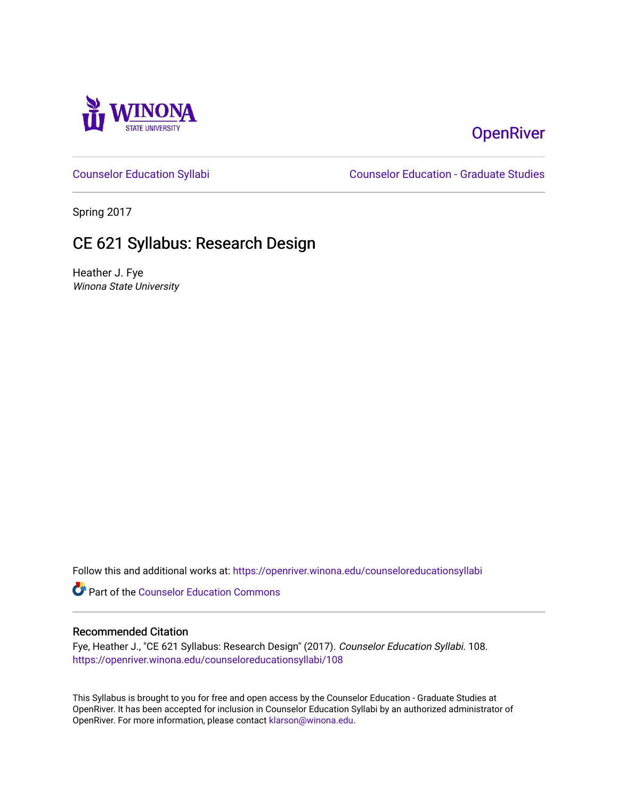

## **OpenRiver**

[Counselor Education Syllabi](https://openriver.winona.edu/counseloreducationsyllabi) [Counselor Education - Graduate Studies](https://openriver.winona.edu/counseloreducation) 

Spring 2017

# CE 621 Syllabus: Research Design

Heather J. Fye Winona State University

Follow this and additional works at: [https://openriver.winona.edu/counseloreducationsyllabi](https://openriver.winona.edu/counseloreducationsyllabi?utm_source=openriver.winona.edu%2Fcounseloreducationsyllabi%2F108&utm_medium=PDF&utm_campaign=PDFCoverPages)

Part of the [Counselor Education Commons](http://network.bepress.com/hgg/discipline/1278?utm_source=openriver.winona.edu%2Fcounseloreducationsyllabi%2F108&utm_medium=PDF&utm_campaign=PDFCoverPages) 

#### Recommended Citation

Fye, Heather J., "CE 621 Syllabus: Research Design" (2017). Counselor Education Syllabi. 108. [https://openriver.winona.edu/counseloreducationsyllabi/108](https://openriver.winona.edu/counseloreducationsyllabi/108?utm_source=openriver.winona.edu%2Fcounseloreducationsyllabi%2F108&utm_medium=PDF&utm_campaign=PDFCoverPages)

This Syllabus is brought to you for free and open access by the Counselor Education - Graduate Studies at OpenRiver. It has been accepted for inclusion in Counselor Education Syllabi by an authorized administrator of OpenRiver. For more information, please contact [klarson@winona.edu](mailto:klarson@winona.edu).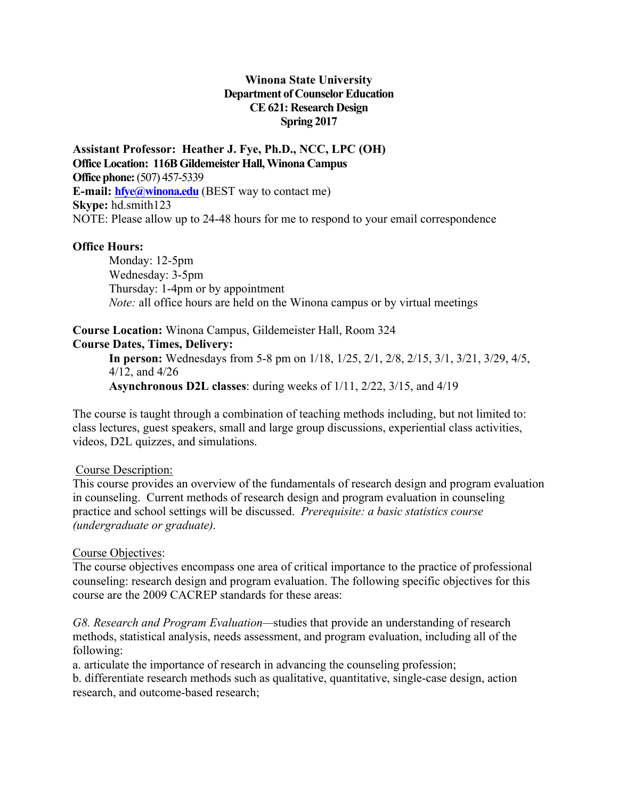#### **Winona State University Department of Counselor Education CE 621: Research Design Spring 2017**

**Assistant Professor: Heather J. Fye, Ph.D., NCC, LPC (OH) Office Location: 116B Gildemeister Hall, Winona Campus Office phone:**(507) 457-5339 **E-mail: hfye@winona.edu** (BEST way to contact me) **Skype:** hd.smith123 NOTE: Please allow up to 24-48 hours for me to respond to your email correspondence

#### **Office Hours:**

Monday: 12-5pm Wednesday: 3-5pm Thursday: 1-4pm or by appointment *Note:* all office hours are held on the Winona campus or by virtual meetings

## **Course Location:** Winona Campus, Gildemeister Hall, Room 324

#### **Course Dates, Times, Delivery:**

**In person:** Wednesdays from 5-8 pm on 1/18, 1/25, 2/1, 2/8, 2/15, 3/1, 3/21, 3/29, 4/5, 4/12, and 4/26 **Asynchronous D2L classes**: during weeks of 1/11, 2/22, 3/15, and 4/19

The course is taught through a combination of teaching methods including, but not limited to: class lectures, guest speakers, small and large group discussions, experiential class activities, videos, D2L quizzes, and simulations.

#### Course Description:

This course provides an overview of the fundamentals of research design and program evaluation in counseling. Current methods of research design and program evaluation in counseling practice and school settings will be discussed. *Prerequisite: a basic statistics course (undergraduate or graduate).* 

#### Course Objectives:

The course objectives encompass one area of critical importance to the practice of professional counseling: research design and program evaluation. The following specific objectives for this course are the 2009 CACREP standards for these areas:

*G8. Research and Program Evaluation—*studies that provide an understanding of research methods, statistical analysis, needs assessment, and program evaluation, including all of the following:

a. articulate the importance of research in advancing the counseling profession;

b. differentiate research methods such as qualitative, quantitative, single-case design, action research, and outcome-based research;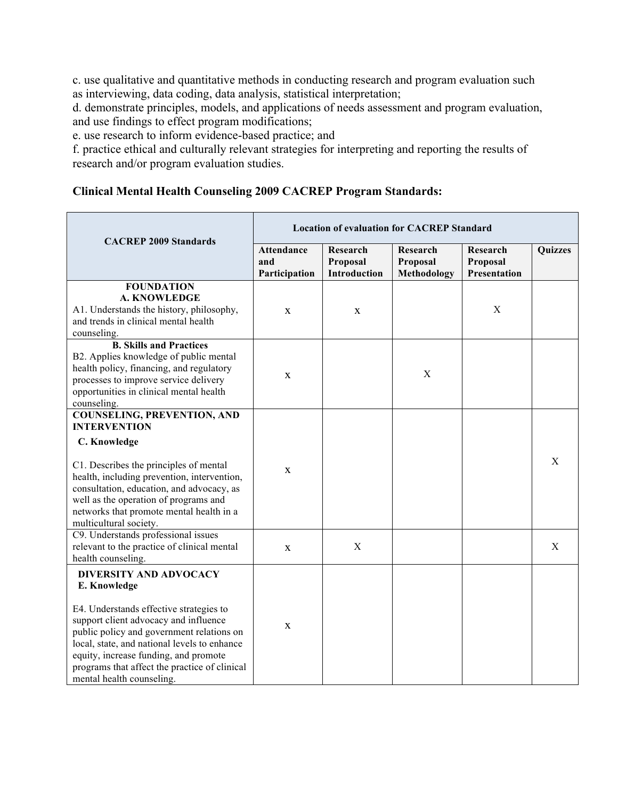c. use qualitative and quantitative methods in conducting research and program evaluation such as interviewing, data coding, data analysis, statistical interpretation;

d. demonstrate principles, models, and applications of needs assessment and program evaluation, and use findings to effect program modifications;

e. use research to inform evidence-based practice; and

f. practice ethical and culturally relevant strategies for interpreting and reporting the results of research and/or program evaluation studies.

## **Clinical Mental Health Counseling 2009 CACREP Program Standards:**

|                                                                                                                                                                                                                                                                                                                                                       | <b>Location of evaluation for CACREP Standard</b> |                                      |                                            |                                             |                |
|-------------------------------------------------------------------------------------------------------------------------------------------------------------------------------------------------------------------------------------------------------------------------------------------------------------------------------------------------------|---------------------------------------------------|--------------------------------------|--------------------------------------------|---------------------------------------------|----------------|
| <b>CACREP 2009 Standards</b>                                                                                                                                                                                                                                                                                                                          | <b>Attendance</b><br>and<br>Participation         | Research<br>Proposal<br>Introduction | Research<br>Proposal<br><b>Methodology</b> | Research<br>Proposal<br><b>Presentation</b> | <b>Quizzes</b> |
| <b>FOUNDATION</b><br><b>A. KNOWLEDGE</b><br>A1. Understands the history, philosophy,<br>and trends in clinical mental health<br>counseling.                                                                                                                                                                                                           | X                                                 | X                                    |                                            | X                                           |                |
| <b>B. Skills and Practices</b><br>B2. Applies knowledge of public mental<br>health policy, financing, and regulatory<br>processes to improve service delivery<br>opportunities in clinical mental health<br>counseling.                                                                                                                               | $\mathbf X$                                       |                                      | $\boldsymbol{\mathrm{X}}$                  |                                             |                |
| <b>COUNSELING, PREVENTION, AND</b><br><b>INTERVENTION</b><br>C. Knowledge<br>C1. Describes the principles of mental<br>health, including prevention, intervention,<br>consultation, education, and advocacy, as<br>well as the operation of programs and<br>networks that promote mental health in a<br>multicultural society.                        | $\mathbf X$                                       |                                      |                                            |                                             | X              |
| C9. Understands professional issues<br>relevant to the practice of clinical mental<br>health counseling.                                                                                                                                                                                                                                              | X                                                 | $\mathbf X$                          |                                            |                                             | X              |
| <b>DIVERSITY AND ADVOCACY</b><br>E. Knowledge<br>E4. Understands effective strategies to<br>support client advocacy and influence<br>public policy and government relations on<br>local, state, and national levels to enhance<br>equity, increase funding, and promote<br>programs that affect the practice of clinical<br>mental health counseling. | $\mathbf X$                                       |                                      |                                            |                                             |                |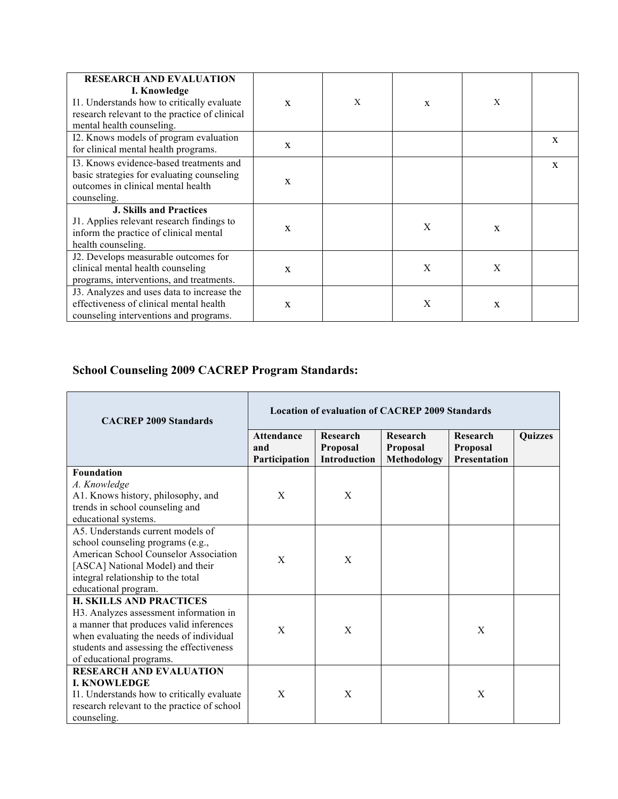| <b>RESEARCH AND EVALUATION</b><br>I. Knowledge<br>I1. Understands how to critically evaluate<br>research relevant to the practice of clinical<br>mental health counseling. | $\mathbf{X}$ | X | X | X            |              |
|----------------------------------------------------------------------------------------------------------------------------------------------------------------------------|--------------|---|---|--------------|--------------|
| I2. Knows models of program evaluation<br>for clinical mental health programs.                                                                                             | X            |   |   |              | $\mathbf{x}$ |
| 13. Knows evidence-based treatments and<br>basic strategies for evaluating counseling<br>outcomes in clinical mental health<br>counseling.                                 | $\mathbf{X}$ |   |   |              | $\mathbf{x}$ |
| <b>J. Skills and Practices</b><br>J1. Applies relevant research findings to<br>inform the practice of clinical mental<br>health counseling.                                | $\mathbf{x}$ |   | X | $\mathbf{x}$ |              |
| J2. Develops measurable outcomes for<br>clinical mental health counseling<br>programs, interventions, and treatments.                                                      | $\mathbf{x}$ |   | X | $\mathbf{X}$ |              |
| J3. Analyzes and uses data to increase the<br>effectiveness of clinical mental health<br>counseling interventions and programs.                                            | X            |   | X | X            |              |

## **School Counseling 2009 CACREP Program Standards:**

 $\overline{\phantom{a}}$ 

<u> 1989 - Johann Barnett, fransk politiker (</u>

 $\mathbf{r}$ 

| <b>CACREP 2009 Standards</b>                | <b>Location of evaluation of CACREP 2009 Standards</b> |                                             |                                     |                                             |                |
|---------------------------------------------|--------------------------------------------------------|---------------------------------------------|-------------------------------------|---------------------------------------------|----------------|
|                                             | <b>Attendance</b><br>and<br>Participation              | Research<br>Proposal<br><b>Introduction</b> | Research<br>Proposal<br>Methodology | Research<br>Proposal<br><b>Presentation</b> | <b>Ouizzes</b> |
| <b>Foundation</b>                           |                                                        |                                             |                                     |                                             |                |
| A. Knowledge                                |                                                        |                                             |                                     |                                             |                |
| A1. Knows history, philosophy, and          | X                                                      | X                                           |                                     |                                             |                |
| trends in school counseling and             |                                                        |                                             |                                     |                                             |                |
| educational systems.                        |                                                        |                                             |                                     |                                             |                |
| A5. Understands current models of           |                                                        |                                             |                                     |                                             |                |
| school counseling programs (e.g.,           |                                                        |                                             |                                     |                                             |                |
| American School Counselor Association       | X                                                      | X                                           |                                     |                                             |                |
| [ASCA] National Model) and their            |                                                        |                                             |                                     |                                             |                |
| integral relationship to the total          |                                                        |                                             |                                     |                                             |                |
| educational program.                        |                                                        |                                             |                                     |                                             |                |
| <b>H. SKILLS AND PRACTICES</b>              |                                                        |                                             |                                     |                                             |                |
| H3. Analyzes assessment information in      |                                                        |                                             |                                     |                                             |                |
| a manner that produces valid inferences     | X                                                      | X                                           |                                     | X                                           |                |
| when evaluating the needs of individual     |                                                        |                                             |                                     |                                             |                |
| students and assessing the effectiveness    |                                                        |                                             |                                     |                                             |                |
| of educational programs.                    |                                                        |                                             |                                     |                                             |                |
| <b>RESEARCH AND EVALUATION</b>              |                                                        |                                             |                                     |                                             |                |
| <b>I. KNOWLEDGE</b>                         |                                                        |                                             |                                     |                                             |                |
| I1. Understands how to critically evaluate  | X                                                      | X                                           |                                     | X                                           |                |
| research relevant to the practice of school |                                                        |                                             |                                     |                                             |                |
| counseling.                                 |                                                        |                                             |                                     |                                             |                |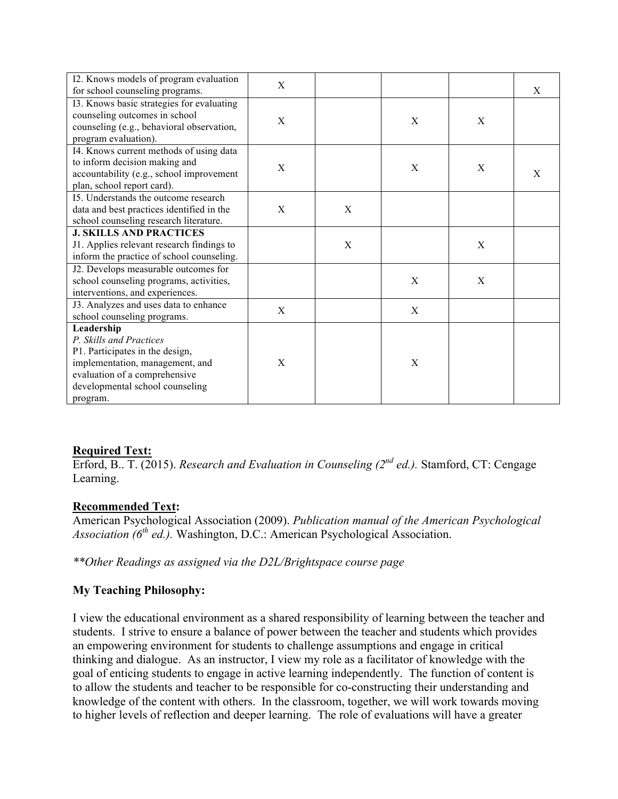| I2. Knows models of program evaluation                                     | X |   |   |   |   |
|----------------------------------------------------------------------------|---|---|---|---|---|
| for school counseling programs.                                            |   |   |   |   | X |
| I3. Knows basic strategies for evaluating                                  |   |   |   |   |   |
| counseling outcomes in school<br>counseling (e.g., behavioral observation, | X |   | X | X |   |
| program evaluation).                                                       |   |   |   |   |   |
| I4. Knows current methods of using data                                    |   |   |   |   |   |
| to inform decision making and                                              | X |   | X | X |   |
| accountability (e.g., school improvement                                   |   |   |   |   | X |
| plan, school report card).                                                 |   |   |   |   |   |
| 15. Understands the outcome research                                       |   |   |   |   |   |
| data and best practices identified in the                                  | X | X |   |   |   |
| school counseling research literature.                                     |   |   |   |   |   |
| <b>J. SKILLS AND PRACTICES</b>                                             |   |   |   |   |   |
| J1. Applies relevant research findings to                                  |   | X |   | X |   |
| inform the practice of school counseling.                                  |   |   |   |   |   |
| J2. Develops measurable outcomes for                                       |   |   |   |   |   |
| school counseling programs, activities,                                    |   |   | X | X |   |
| interventions, and experiences.                                            |   |   |   |   |   |
| J3. Analyzes and uses data to enhance                                      | X |   | X |   |   |
| school counseling programs.                                                |   |   |   |   |   |
| Leadership                                                                 |   |   |   |   |   |
| P. Skills and Practices                                                    |   |   |   |   |   |
| P1. Participates in the design,                                            |   |   |   |   |   |
| implementation, management, and                                            | X |   | X |   |   |
| evaluation of a comprehensive                                              |   |   |   |   |   |
| developmental school counseling                                            |   |   |   |   |   |
| program.                                                                   |   |   |   |   |   |

#### **Required Text:**

Erford, B.. T. (2015). *Research and Evaluation in Counseling (2nd ed.).* Stamford, CT: Cengage Learning.

#### **Recommended Text:**

American Psychological Association (2009). *Publication manual of the American Psychological Association (6th ed.).* Washington, D.C.: American Psychological Association.

*\*\*Other Readings as assigned via the D2L/Brightspace course page*

## **My Teaching Philosophy:**

I view the educational environment as a shared responsibility of learning between the teacher and students. I strive to ensure a balance of power between the teacher and students which provides an empowering environment for students to challenge assumptions and engage in critical thinking and dialogue. As an instructor, I view my role as a facilitator of knowledge with the goal of enticing students to engage in active learning independently. The function of content is to allow the students and teacher to be responsible for co-constructing their understanding and knowledge of the content with others. In the classroom, together, we will work towards moving to higher levels of reflection and deeper learning. The role of evaluations will have a greater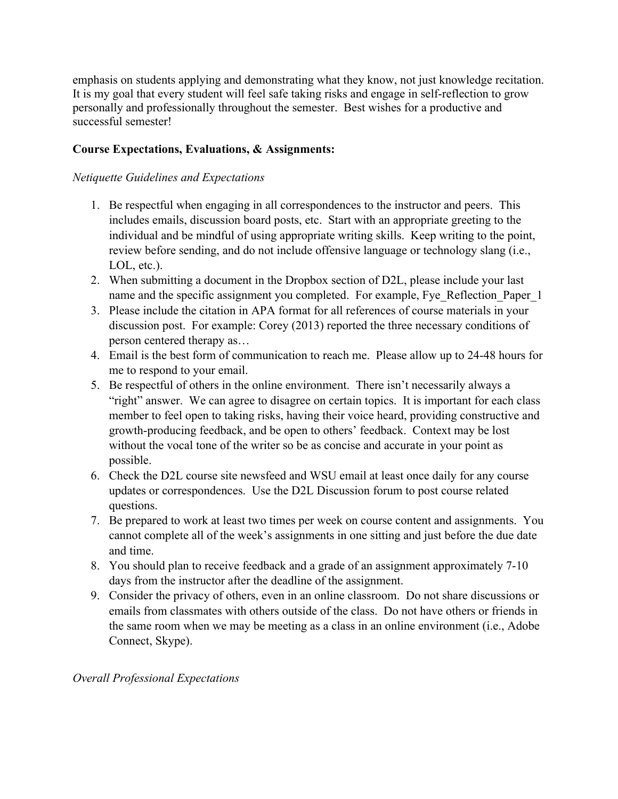emphasis on students applying and demonstrating what they know, not just knowledge recitation. It is my goal that every student will feel safe taking risks and engage in self-reflection to grow personally and professionally throughout the semester. Best wishes for a productive and successful semester!

## **Course Expectations, Evaluations, & Assignments:**

### *Netiquette Guidelines and Expectations*

- 1. Be respectful when engaging in all correspondences to the instructor and peers. This includes emails, discussion board posts, etc. Start with an appropriate greeting to the individual and be mindful of using appropriate writing skills. Keep writing to the point, review before sending, and do not include offensive language or technology slang (i.e., LOL, etc.).
- 2. When submitting a document in the Dropbox section of D2L, please include your last name and the specific assignment you completed. For example, Fye\_Reflection\_Paper\_1
- 3. Please include the citation in APA format for all references of course materials in your discussion post. For example: Corey (2013) reported the three necessary conditions of person centered therapy as…
- 4. Email is the best form of communication to reach me. Please allow up to 24-48 hours for me to respond to your email.
- 5. Be respectful of others in the online environment. There isn't necessarily always a "right" answer. We can agree to disagree on certain topics. It is important for each class member to feel open to taking risks, having their voice heard, providing constructive and growth-producing feedback, and be open to others' feedback. Context may be lost without the vocal tone of the writer so be as concise and accurate in your point as possible.
- 6. Check the D2L course site newsfeed and WSU email at least once daily for any course updates or correspondences. Use the D2L Discussion forum to post course related questions.
- 7. Be prepared to work at least two times per week on course content and assignments. You cannot complete all of the week's assignments in one sitting and just before the due date and time.
- 8. You should plan to receive feedback and a grade of an assignment approximately 7-10 days from the instructor after the deadline of the assignment.
- 9. Consider the privacy of others, even in an online classroom. Do not share discussions or emails from classmates with others outside of the class. Do not have others or friends in the same room when we may be meeting as a class in an online environment (i.e., Adobe Connect, Skype).

#### *Overall Professional Expectations*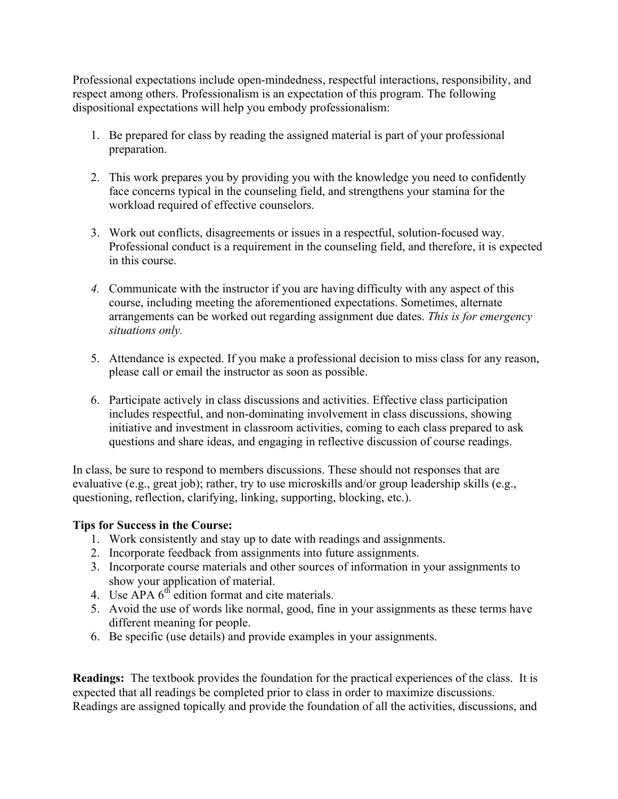Professional expectations include open-mindedness, respectful interactions, responsibility, and respect among others. Professionalism is an expectation of this program. The following dispositional expectations will help you embody professionalism:

- 1. Be prepared for class by reading the assigned material is part of your professional preparation.
- 2. This work prepares you by providing you with the knowledge you need to confidently face concerns typical in the counseling field, and strengthens your stamina for the workload required of effective counselors.
- 3. Work out conflicts, disagreements or issues in a respectful, solution-focused way. Professional conduct is a requirement in the counseling field, and therefore, it is expected in this course.
- *4.* Communicate with the instructor if you are having difficulty with any aspect of this course, including meeting the aforementioned expectations. Sometimes, alternate arrangements can be worked out regarding assignment due dates. *This is for emergency situations only.*
- 5. Attendance is expected. If you make a professional decision to miss class for any reason, please call or email the instructor as soon as possible.
- 6. Participate actively in class discussions and activities. Effective class participation includes respectful, and non-dominating involvement in class discussions, showing initiative and investment in classroom activities, coming to each class prepared to ask questions and share ideas, and engaging in reflective discussion of course readings.

In class, be sure to respond to members discussions. These should not responses that are evaluative (e.g., great job); rather, try to use microskills and/or group leadership skills (e.g., questioning, reflection, clarifying, linking, supporting, blocking, etc.).

#### **Tips for Success in the Course:**

- 1. Work consistently and stay up to date with readings and assignments.
- 2. Incorporate feedback from assignments into future assignments.
- 3. Incorporate course materials and other sources of information in your assignments to show your application of material.
- 4. Use  $\overrightarrow{APA}$  6<sup>th</sup> edition format and cite materials.
- 5. Avoid the use of words like normal, good, fine in your assignments as these terms have different meaning for people.
- 6. Be specific (use details) and provide examples in your assignments.

**Readings:** The textbook provides the foundation for the practical experiences of the class. It is expected that all readings be completed prior to class in order to maximize discussions. Readings are assigned topically and provide the foundation of all the activities, discussions, and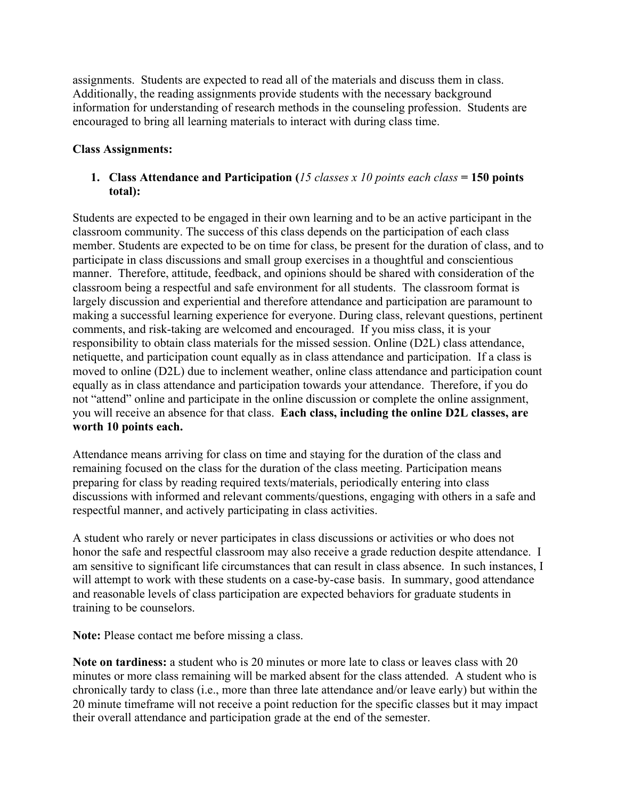assignments. Students are expected to read all of the materials and discuss them in class. Additionally, the reading assignments provide students with the necessary background information for understanding of research methods in the counseling profession. Students are encouraged to bring all learning materials to interact with during class time.

#### **Class Assignments:**

#### **1. Class Attendance and Participation (***15 classes x 10 points each class* **= 150 points total):**

Students are expected to be engaged in their own learning and to be an active participant in the classroom community. The success of this class depends on the participation of each class member. Students are expected to be on time for class, be present for the duration of class, and to participate in class discussions and small group exercises in a thoughtful and conscientious manner. Therefore, attitude, feedback, and opinions should be shared with consideration of the classroom being a respectful and safe environment for all students. The classroom format is largely discussion and experiential and therefore attendance and participation are paramount to making a successful learning experience for everyone. During class, relevant questions, pertinent comments, and risk-taking are welcomed and encouraged. If you miss class, it is your responsibility to obtain class materials for the missed session. Online (D2L) class attendance, netiquette, and participation count equally as in class attendance and participation. If a class is moved to online (D2L) due to inclement weather, online class attendance and participation count equally as in class attendance and participation towards your attendance. Therefore, if you do not "attend" online and participate in the online discussion or complete the online assignment, you will receive an absence for that class. **Each class, including the online D2L classes, are worth 10 points each.** 

Attendance means arriving for class on time and staying for the duration of the class and remaining focused on the class for the duration of the class meeting. Participation means preparing for class by reading required texts/materials, periodically entering into class discussions with informed and relevant comments/questions, engaging with others in a safe and respectful manner, and actively participating in class activities.

A student who rarely or never participates in class discussions or activities or who does not honor the safe and respectful classroom may also receive a grade reduction despite attendance. I am sensitive to significant life circumstances that can result in class absence. In such instances, I will attempt to work with these students on a case-by-case basis. In summary, good attendance and reasonable levels of class participation are expected behaviors for graduate students in training to be counselors.

**Note:** Please contact me before missing a class.

**Note on tardiness:** a student who is 20 minutes or more late to class or leaves class with 20 minutes or more class remaining will be marked absent for the class attended. A student who is chronically tardy to class (i.e., more than three late attendance and/or leave early) but within the 20 minute timeframe will not receive a point reduction for the specific classes but it may impact their overall attendance and participation grade at the end of the semester.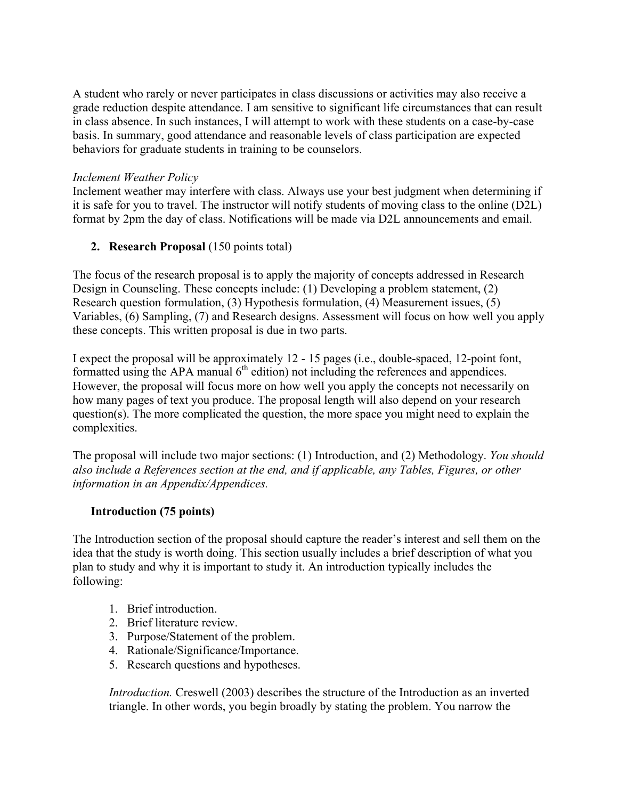A student who rarely or never participates in class discussions or activities may also receive a grade reduction despite attendance. I am sensitive to significant life circumstances that can result in class absence. In such instances, I will attempt to work with these students on a case-by-case basis. In summary, good attendance and reasonable levels of class participation are expected behaviors for graduate students in training to be counselors.

#### *Inclement Weather Policy*

Inclement weather may interfere with class. Always use your best judgment when determining if it is safe for you to travel. The instructor will notify students of moving class to the online (D2L) format by 2pm the day of class. Notifications will be made via D2L announcements and email.

#### **2. Research Proposal** (150 points total)

The focus of the research proposal is to apply the majority of concepts addressed in Research Design in Counseling. These concepts include: (1) Developing a problem statement, (2) Research question formulation, (3) Hypothesis formulation, (4) Measurement issues, (5) Variables, (6) Sampling, (7) and Research designs. Assessment will focus on how well you apply these concepts. This written proposal is due in two parts.

I expect the proposal will be approximately 12 - 15 pages (i.e., double-spaced, 12-point font, formatted using the APA manual  $6<sup>th</sup>$  edition) not including the references and appendices. However, the proposal will focus more on how well you apply the concepts not necessarily on how many pages of text you produce. The proposal length will also depend on your research question(s). The more complicated the question, the more space you might need to explain the complexities.

The proposal will include two major sections: (1) Introduction, and (2) Methodology. *You should also include a References section at the end, and if applicable, any Tables, Figures, or other information in an Appendix/Appendices.* 

#### **Introduction (75 points)**

The Introduction section of the proposal should capture the reader's interest and sell them on the idea that the study is worth doing. This section usually includes a brief description of what you plan to study and why it is important to study it. An introduction typically includes the following:

- 1. Brief introduction.
- 2. Brief literature review.
- 3. Purpose/Statement of the problem.
- 4. Rationale/Significance/Importance.
- 5. Research questions and hypotheses.

*Introduction.* Creswell (2003) describes the structure of the Introduction as an inverted triangle. In other words, you begin broadly by stating the problem. You narrow the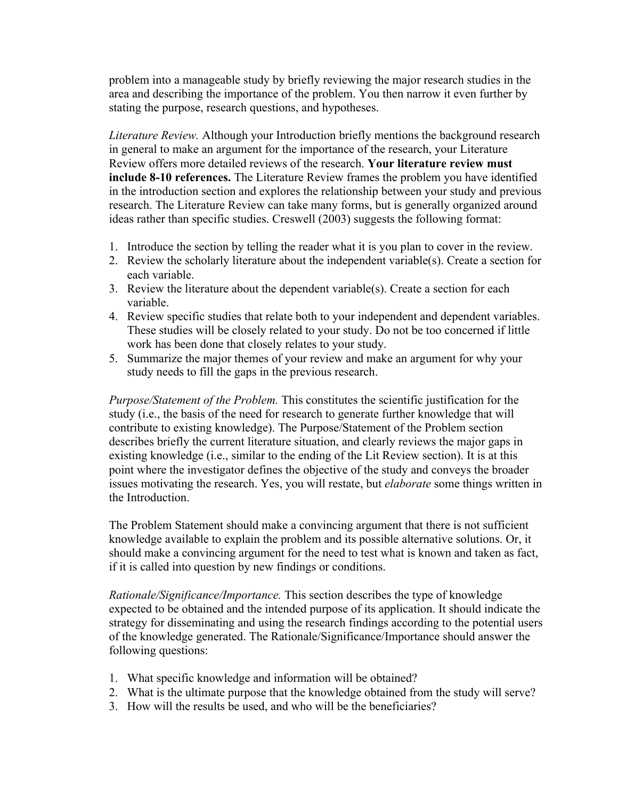problem into a manageable study by briefly reviewing the major research studies in the area and describing the importance of the problem. You then narrow it even further by stating the purpose, research questions, and hypotheses.

*Literature Review.* Although your Introduction briefly mentions the background research in general to make an argument for the importance of the research, your Literature Review offers more detailed reviews of the research. **Your literature review must include 8-10 references.** The Literature Review frames the problem you have identified in the introduction section and explores the relationship between your study and previous research. The Literature Review can take many forms, but is generally organized around ideas rather than specific studies. Creswell (2003) suggests the following format:

- 1. Introduce the section by telling the reader what it is you plan to cover in the review.
- 2. Review the scholarly literature about the independent variable(s). Create a section for each variable.
- 3. Review the literature about the dependent variable(s). Create a section for each variable.
- 4. Review specific studies that relate both to your independent and dependent variables. These studies will be closely related to your study. Do not be too concerned if little work has been done that closely relates to your study.
- 5. Summarize the major themes of your review and make an argument for why your study needs to fill the gaps in the previous research.

*Purpose/Statement of the Problem.* This constitutes the scientific justification for the study (i.e., the basis of the need for research to generate further knowledge that will contribute to existing knowledge). The Purpose/Statement of the Problem section describes briefly the current literature situation, and clearly reviews the major gaps in existing knowledge (i.e., similar to the ending of the Lit Review section). It is at this point where the investigator defines the objective of the study and conveys the broader issues motivating the research. Yes, you will restate, but *elaborate* some things written in the Introduction.

The Problem Statement should make a convincing argument that there is not sufficient knowledge available to explain the problem and its possible alternative solutions. Or, it should make a convincing argument for the need to test what is known and taken as fact, if it is called into question by new findings or conditions.

*Rationale/Significance/Importance.* This section describes the type of knowledge expected to be obtained and the intended purpose of its application. It should indicate the strategy for disseminating and using the research findings according to the potential users of the knowledge generated. The Rationale/Significance/Importance should answer the following questions:

- 1. What specific knowledge and information will be obtained?
- 2. What is the ultimate purpose that the knowledge obtained from the study will serve?
- 3. How will the results be used, and who will be the beneficiaries?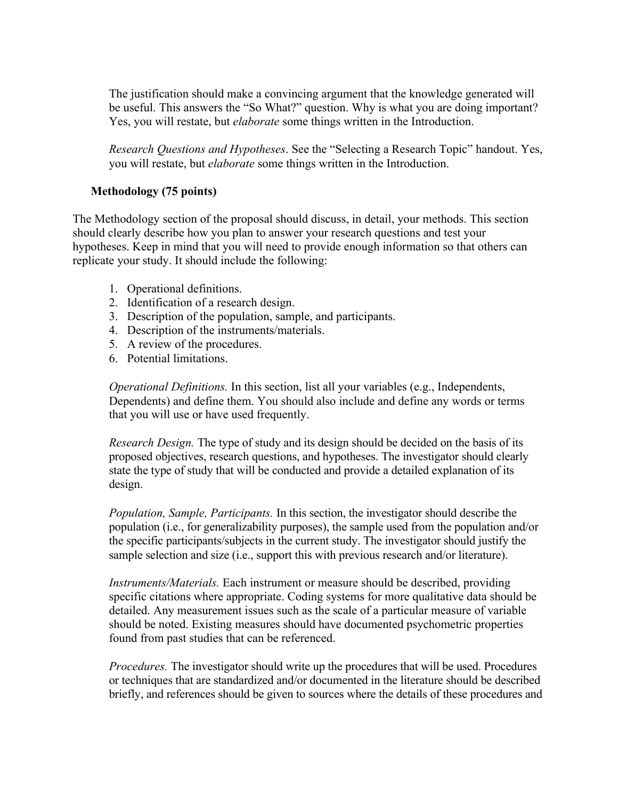The justification should make a convincing argument that the knowledge generated will be useful. This answers the "So What?" question. Why is what you are doing important? Yes, you will restate, but *elaborate* some things written in the Introduction.

*Research Questions and Hypotheses*. See the "Selecting a Research Topic" handout. Yes, you will restate, but *elaborate* some things written in the Introduction.

#### **Methodology (75 points)**

The Methodology section of the proposal should discuss, in detail, your methods. This section should clearly describe how you plan to answer your research questions and test your hypotheses. Keep in mind that you will need to provide enough information so that others can replicate your study. It should include the following:

- 1. Operational definitions.
- 2. Identification of a research design.
- 3. Description of the population, sample, and participants.
- 4. Description of the instruments/materials.
- 5. A review of the procedures.
- 6. Potential limitations.

*Operational Definitions.* In this section, list all your variables (e.g., Independents, Dependents) and define them. You should also include and define any words or terms that you will use or have used frequently.

*Research Design.* The type of study and its design should be decided on the basis of its proposed objectives, research questions, and hypotheses. The investigator should clearly state the type of study that will be conducted and provide a detailed explanation of its design.

*Population, Sample, Participants.* In this section, the investigator should describe the population (i.e., for generalizability purposes), the sample used from the population and/or the specific participants/subjects in the current study. The investigator should justify the sample selection and size (i.e., support this with previous research and/or literature).

*Instruments/Materials.* Each instrument or measure should be described, providing specific citations where appropriate. Coding systems for more qualitative data should be detailed. Any measurement issues such as the scale of a particular measure of variable should be noted. Existing measures should have documented psychometric properties found from past studies that can be referenced.

*Procedures.* The investigator should write up the procedures that will be used. Procedures or techniques that are standardized and/or documented in the literature should be described briefly, and references should be given to sources where the details of these procedures and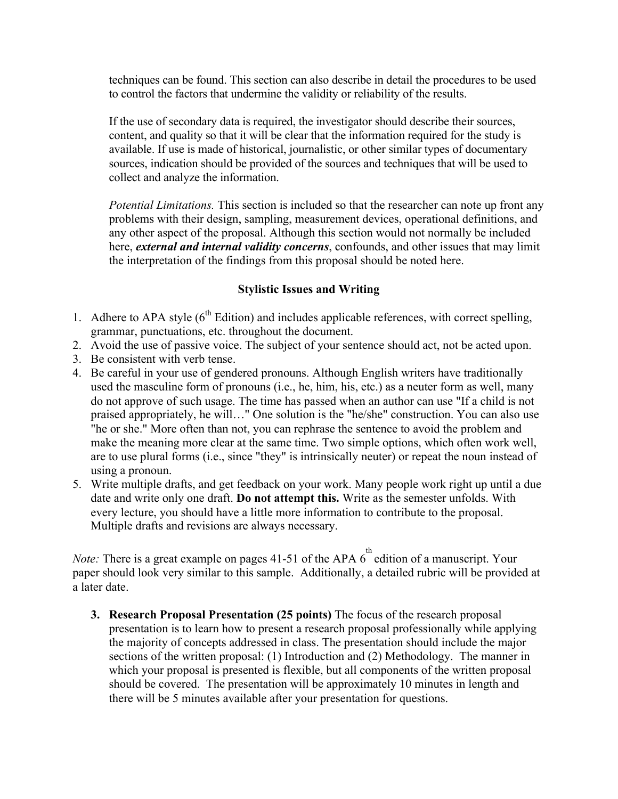techniques can be found. This section can also describe in detail the procedures to be used to control the factors that undermine the validity or reliability of the results.

If the use of secondary data is required, the investigator should describe their sources, content, and quality so that it will be clear that the information required for the study is available. If use is made of historical, journalistic, or other similar types of documentary sources, indication should be provided of the sources and techniques that will be used to collect and analyze the information.

*Potential Limitations.* This section is included so that the researcher can note up front any problems with their design, sampling, measurement devices, operational definitions, and any other aspect of the proposal. Although this section would not normally be included here, *external and internal validity concerns*, confounds, and other issues that may limit the interpretation of the findings from this proposal should be noted here.

#### **Stylistic Issues and Writing**

- 1. Adhere to APA style  $(6<sup>th</sup> Edition)$  and includes applicable references, with correct spelling, grammar, punctuations, etc. throughout the document.
- 2. Avoid the use of passive voice. The subject of your sentence should act, not be acted upon.
- 3. Be consistent with verb tense.
- 4. Be careful in your use of gendered pronouns. Although English writers have traditionally used the masculine form of pronouns (i.e., he, him, his, etc.) as a neuter form as well, many do not approve of such usage. The time has passed when an author can use "If a child is not praised appropriately, he will…" One solution is the "he/she" construction. You can also use "he or she." More often than not, you can rephrase the sentence to avoid the problem and make the meaning more clear at the same time. Two simple options, which often work well, are to use plural forms (i.e., since "they" is intrinsically neuter) or repeat the noun instead of using a pronoun.
- 5. Write multiple drafts, and get feedback on your work. Many people work right up until a due date and write only one draft. **Do not attempt this.** Write as the semester unfolds. With every lecture, you should have a little more information to contribute to the proposal. Multiple drafts and revisions are always necessary.

*Note:* There is a great example on pages 41-51 of the APA  $6^{th}$  edition of a manuscript. Your paper should look very similar to this sample. Additionally, a detailed rubric will be provided at a later date.

**3. Research Proposal Presentation (25 points)** The focus of the research proposal presentation is to learn how to present a research proposal professionally while applying the majority of concepts addressed in class. The presentation should include the major sections of the written proposal: (1) Introduction and (2) Methodology. The manner in which your proposal is presented is flexible, but all components of the written proposal should be covered. The presentation will be approximately 10 minutes in length and there will be 5 minutes available after your presentation for questions.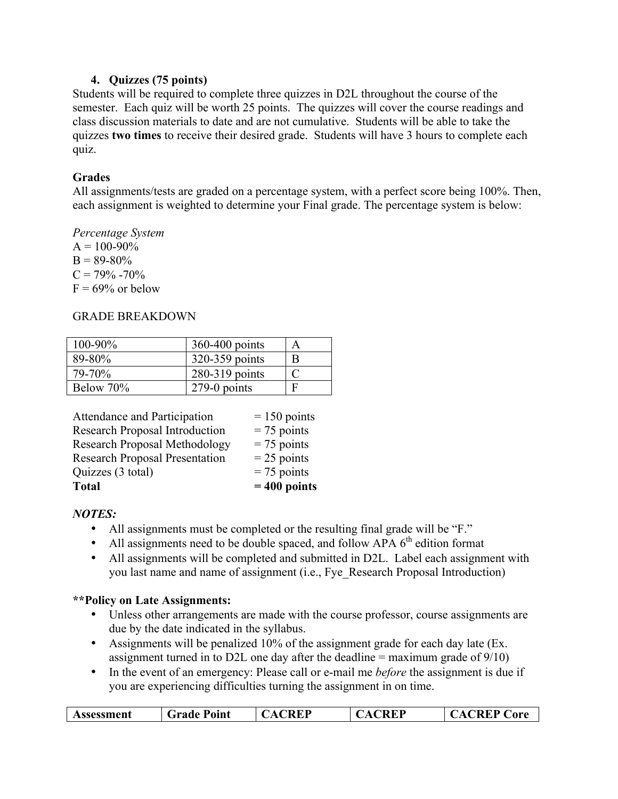#### **4. Quizzes (75 points)**

Students will be required to complete three quizzes in D2L throughout the course of the semester. Each quiz will be worth 25 points. The quizzes will cover the course readings and class discussion materials to date and are not cumulative. Students will be able to take the quizzes **two times** to receive their desired grade. Students will have 3 hours to complete each quiz.

#### **Grades**

All assignments/tests are graded on a percentage system, with a perfect score being 100%. Then, each assignment is weighted to determine your Final grade. The percentage system is below:

*Percentage System*   $A = 100 - 90\%$  $B = 89-80%$  $C = 79\% - 70\%$  $F = 69\%$  or below

#### GRADE BREAKDOWN

| 100-90%     | $360-400$ points | A |
|-------------|------------------|---|
| $89 - 80\%$ | 320-359 points   | B |
| 79-70%      | 280-319 points   |   |
| Below 70%   | $279-0$ points   |   |

| <b>Total</b>                          | $= 400$ points |
|---------------------------------------|----------------|
| Quizzes (3 total)                     | $= 75$ points  |
| <b>Research Proposal Presentation</b> | $= 25$ points  |
| <b>Research Proposal Methodology</b>  | $= 75$ points  |
| <b>Research Proposal Introduction</b> | $= 75$ points  |
| Attendance and Participation          | $= 150$ points |

#### *NOTES:*

- All assignments must be completed or the resulting final grade will be "F."
- All assignments need to be double spaced, and follow APA  $6<sup>th</sup>$  edition format
- All assignments will be completed and submitted in D2L. Label each assignment with you last name and name of assignment (i.e., Fye\_Research Proposal Introduction)

#### **\*\*Policy on Late Assignments:**

- Unless other arrangements are made with the course professor, course assignments are due by the date indicated in the syllabus.
- Assignments will be penalized 10% of the assignment grade for each day late (Ex. assignment turned in to D2L one day after the deadline  $=$  maximum grade of  $9/10$ )
- In the event of an emergency: Please call or e-mail me *before* the assignment is due if you are experiencing difficulties turning the assignment in on time.

| Assessment | <b>Grade Point</b> | <b>TREP</b><br>$\mathbf{A}$ | REP | <b>REP Core</b><br>$\sqrt{2}$ |
|------------|--------------------|-----------------------------|-----|-------------------------------|
|            |                    |                             |     |                               |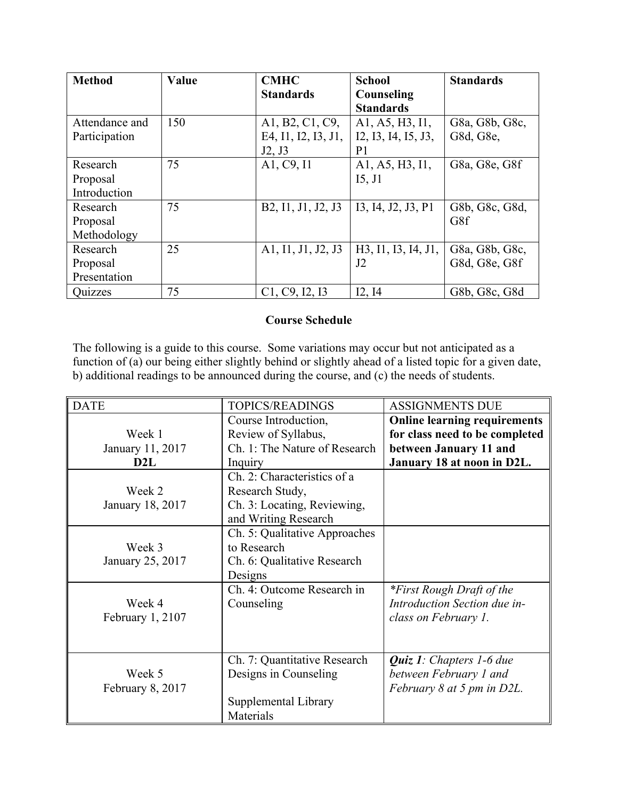| <b>Method</b>  | Value | <b>CMHC</b>         | <b>School</b>       | <b>Standards</b> |
|----------------|-------|---------------------|---------------------|------------------|
|                |       | <b>Standards</b>    | Counseling          |                  |
|                |       |                     | <b>Standards</b>    |                  |
| Attendance and | 150   | A1, B2, C1, C9,     | A1, A5, H3, I1,     | G8a, G8b, G8c,   |
| Participation  |       | E4, I1, I2, I3, J1, | I2, I3, I4, I5, J3, | G8d, G8e,        |
|                |       | J2, J3              | P <sub>1</sub>      |                  |
| Research       | 75    | A1, C9, I1          | A1, A5, H3, I1,     | G8a, G8e, G8f    |
| Proposal       |       |                     | I5, J1              |                  |
| Introduction   |       |                     |                     |                  |
| Research       | 75    | B2, I1, J1, J2, J3  | 13, 14, J2, J3, P1  | G8b, G8c, G8d,   |
| Proposal       |       |                     |                     | G8f              |
| Methodology    |       |                     |                     |                  |
| Research       | 25    | A1, I1, J1, J2, J3  | H3, I1, I3, I4, J1, | G8a, G8b, G8c,   |
| Proposal       |       |                     | J2                  | G8d, G8e, G8f    |
| Presentation   |       |                     |                     |                  |
| Quizzes        | 75    | C1, C9, I2, I3      | I2, I4              | G8b, G8c, G8d    |

#### **Course Schedule**

The following is a guide to this course. Some variations may occur but not anticipated as a function of (a) our being either slightly behind or slightly ahead of a listed topic for a given date, b) additional readings to be announced during the course, and (c) the needs of students.

| <b>DATE</b>        | <b>TOPICS/READINGS</b>        | <b>ASSIGNMENTS DUE</b>              |
|--------------------|-------------------------------|-------------------------------------|
|                    | Course Introduction,          | <b>Online learning requirements</b> |
| Week 1             | Review of Syllabus,           | for class need to be completed      |
| January 11, 2017   | Ch. 1: The Nature of Research | between January 11 and              |
| D <sub>2</sub> L   | Inquiry                       | January 18 at noon in D2L.          |
|                    | Ch. 2: Characteristics of a   |                                     |
| Week 2             | Research Study,               |                                     |
| January 18, 2017   | Ch. 3: Locating, Reviewing,   |                                     |
|                    | and Writing Research          |                                     |
|                    | Ch. 5: Qualitative Approaches |                                     |
| Week 3             | to Research                   |                                     |
| January 25, 2017   | Ch. 6: Qualitative Research   |                                     |
|                    | Designs                       |                                     |
|                    | Ch. 4: Outcome Research in    | <i>*First Rough Draft of the</i>    |
| Week 4             | Counseling                    | Introduction Section due in-        |
| February $1, 2107$ |                               | class on February 1.                |
|                    |                               |                                     |
|                    |                               |                                     |
|                    | Ch. 7: Quantitative Research  | <b>Quiz 1:</b> Chapters 1-6 due     |
| Week 5             | Designs in Counseling         | between February 1 and              |
| February 8, 2017   |                               | February 8 at 5 pm in D2L.          |
|                    | Supplemental Library          |                                     |
|                    | Materials                     |                                     |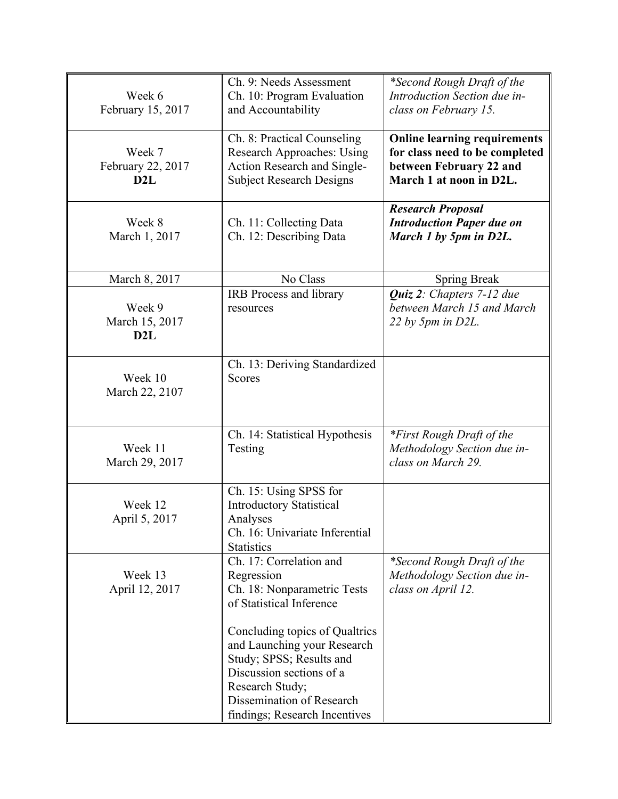| Week 6<br>February 15, 2017        | Ch. 9: Needs Assessment<br>Ch. 10: Program Evaluation<br>and Accountability                                                                                                                            | *Second Rough Draft of the<br>Introduction Section due in-<br>class on February 15.                                         |
|------------------------------------|--------------------------------------------------------------------------------------------------------------------------------------------------------------------------------------------------------|-----------------------------------------------------------------------------------------------------------------------------|
| Week 7<br>February 22, 2017<br>D2L | Ch. 8: Practical Counseling<br>Research Approaches: Using<br>Action Research and Single-<br><b>Subject Research Designs</b>                                                                            | <b>Online learning requirements</b><br>for class need to be completed<br>between February 22 and<br>March 1 at noon in D2L. |
| Week 8<br>March 1, 2017            | Ch. 11: Collecting Data<br>Ch. 12: Describing Data                                                                                                                                                     | <b>Research Proposal</b><br><b>Introduction Paper due on</b><br>March 1 by 5pm in D2L.                                      |
| March 8, 2017                      | No Class                                                                                                                                                                                               | <b>Spring Break</b>                                                                                                         |
| Week 9<br>March 15, 2017<br>D2L    | <b>IRB</b> Process and library<br>resources                                                                                                                                                            | Quiz 2: Chapters 7-12 due<br>between March 15 and March<br>22 by 5pm in $D2L$ .                                             |
| Week 10<br>March 22, 2107          | Ch. 13: Deriving Standardized<br>Scores                                                                                                                                                                |                                                                                                                             |
| Week 11<br>March 29, 2017          | Ch. 14: Statistical Hypothesis<br>Testing                                                                                                                                                              | *First Rough Draft of the<br>Methodology Section due in-<br>class on March 29.                                              |
| Week 12<br>April 5, 2017           | Ch. 15: Using SPSS for<br><b>Introductory Statistical</b><br>Analyses<br>Ch. 16: Univariate Inferential<br><b>Statistics</b>                                                                           |                                                                                                                             |
| Week 13<br>April 12, 2017          | Ch. 17: Correlation and<br>Regression<br>Ch. 18: Nonparametric Tests<br>of Statistical Inference                                                                                                       | *Second Rough Draft of the<br>Methodology Section due in-<br>class on April 12.                                             |
|                                    | Concluding topics of Qualtrics<br>and Launching your Research<br>Study; SPSS; Results and<br>Discussion sections of a<br>Research Study;<br>Dissemination of Research<br>findings; Research Incentives |                                                                                                                             |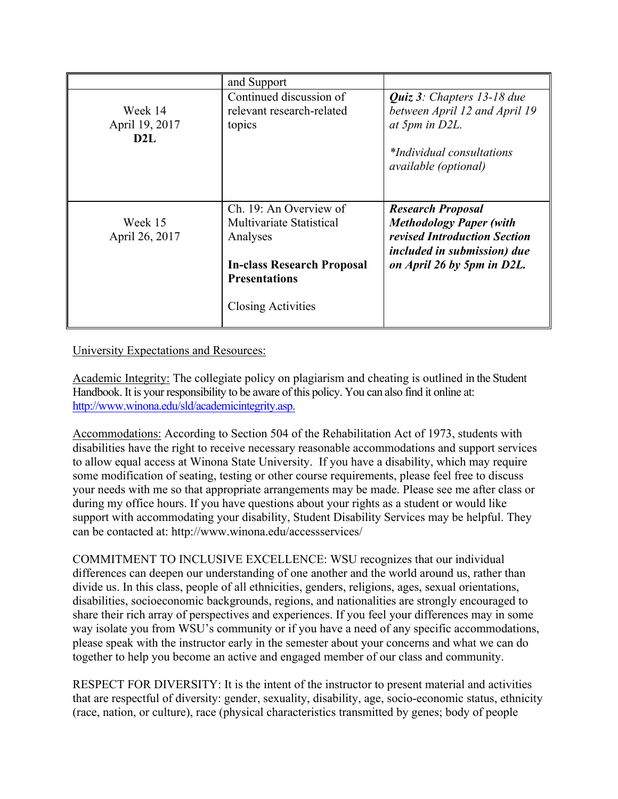|                                              | and Support                                                                                                                                              |                                                                                                                                                                |
|----------------------------------------------|----------------------------------------------------------------------------------------------------------------------------------------------------------|----------------------------------------------------------------------------------------------------------------------------------------------------------------|
| Week 14<br>April 19, 2017<br>D <sub>2L</sub> | Continued discussion of<br>relevant research-related<br>topics                                                                                           | <i>Quiz 3: Chapters 13-18 due</i><br>between April 12 and April 19<br>at 5pm in D2L.<br><i>*Individual consultations</i><br><i>available (optional)</i>        |
| Week 15<br>April 26, 2017                    | Ch. 19: An Overview of<br><b>Multivariate Statistical</b><br>Analyses<br><b>In-class Research Proposal</b><br><b>Presentations</b><br>Closing Activities | <b>Research Proposal</b><br><b>Methodology Paper (with</b><br>revised Introduction Section<br><i>included in submission) due</i><br>on April 26 by 5pm in D2L. |

University Expectations and Resources:

Academic Integrity: The collegiate policy on plagiarism and cheating is outlined in the Student Handbook. It is your responsibility to be aware of this policy. You can also find it online at: http://www.winona.edu/sld/academicintegrity.asp.

Accommodations: According to Section 504 of the Rehabilitation Act of 1973, students with disabilities have the right to receive necessary reasonable accommodations and support services to allow equal access at Winona State University. If you have a disability, which may require some modification of seating, testing or other course requirements, please feel free to discuss your needs with me so that appropriate arrangements may be made. Please see me after class or during my office hours. If you have questions about your rights as a student or would like support with accommodating your disability, Student Disability Services may be helpful. They can be contacted at: http://www.winona.edu/accessservices/

COMMITMENT TO INCLUSIVE EXCELLENCE: WSU recognizes that our individual differences can deepen our understanding of one another and the world around us, rather than divide us. In this class, people of all ethnicities, genders, religions, ages, sexual orientations, disabilities, socioeconomic backgrounds, regions, and nationalities are strongly encouraged to share their rich array of perspectives and experiences. If you feel your differences may in some way isolate you from WSU's community or if you have a need of any specific accommodations, please speak with the instructor early in the semester about your concerns and what we can do together to help you become an active and engaged member of our class and community.

RESPECT FOR DIVERSITY: It is the intent of the instructor to present material and activities that are respectful of diversity: gender, sexuality, disability, age, socio-economic status, ethnicity (race, nation, or culture), race (physical characteristics transmitted by genes; body of people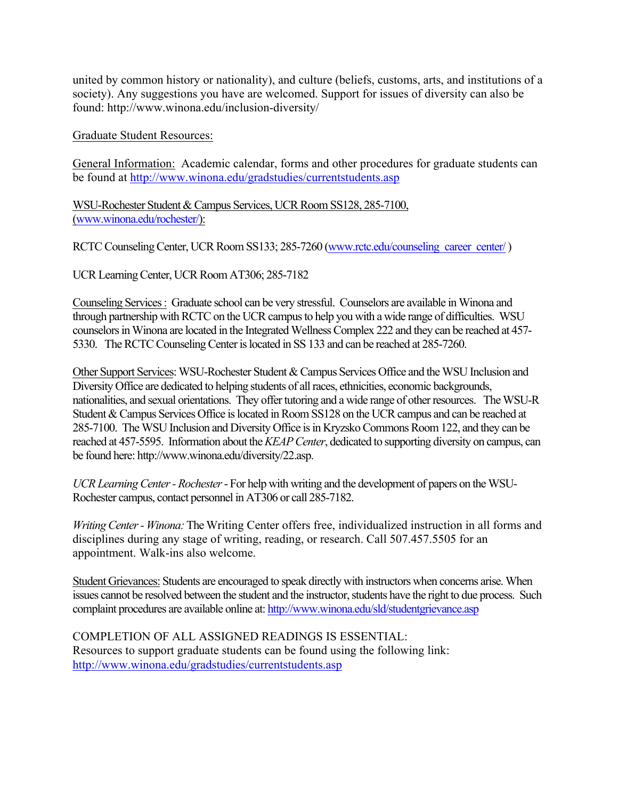united by common history or nationality), and culture (beliefs, customs, arts, and institutions of a society). Any suggestions you have are welcomed. Support for issues of diversity can also be found: http://www.winona.edu/inclusion-diversity/

Graduate Student Resources:

General Information: Academic calendar, forms and other procedures for graduate students can be found at http://www.winona.edu/gradstudies/currentstudents.asp

WSU-Rochester Student & Campus Services, UCR Room SS128, 285-7100, (www.winona.edu/rochester/):

RCTC Counseling Center, UCR Room SS133; 285-7260 (www.rctc.edu/counseling\_career\_center/)

UCR Learning Center, UCR Room AT306; 285-7182

Counseling Services : Graduate school can be very stressful. Counselors are available in Winona and through partnership with RCTC on the UCR campus to help you with a wide range of difficulties. WSU counselors in Winona are located in the Integrated Wellness Complex 222 and they can be reached at 457- 5330. The RCTC Counseling Center is located in SS 133 and can be reached at 285-7260.

Other Support Services: WSU-Rochester Student & Campus Services Office and the WSU Inclusion and Diversity Office are dedicated to helping students of all races, ethnicities, economic backgrounds, nationalities, and sexual orientations. They offer tutoring and a wide range of other resources. The WSU-R Student & Campus Services Office is located in Room SS128 on the UCR campus and can be reached at 285-7100. The WSU Inclusion and Diversity Office is in Kryzsko Commons Room 122, and they can be reached at 457-5595. Information about the *KEAP Center*, dedicated to supporting diversity on campus, can be found here: http://www.winona.edu/diversity/22.asp.

*UCR Learning Center - Rochester*- For help with writing and the development of papers on the WSU-Rochester campus, contact personnel in AT306 or call 285-7182.

*Writing Center - Winona:* The Writing Center offers free, individualized instruction in all forms and disciplines during any stage of writing, reading, or research. Call 507.457.5505 for an appointment. Walk-ins also welcome.

Student Grievances: Students are encouraged to speak directly with instructors when concerns arise. When issues cannot be resolved between the student and the instructor, students have the right to due process. Such complaint procedures are available online at: http://www.winona.edu/sld/studentgrievance.asp

COMPLETION OF ALL ASSIGNED READINGS IS ESSENTIAL: Resources to support graduate students can be found using the following link: http://www.winona.edu/gradstudies/currentstudents.asp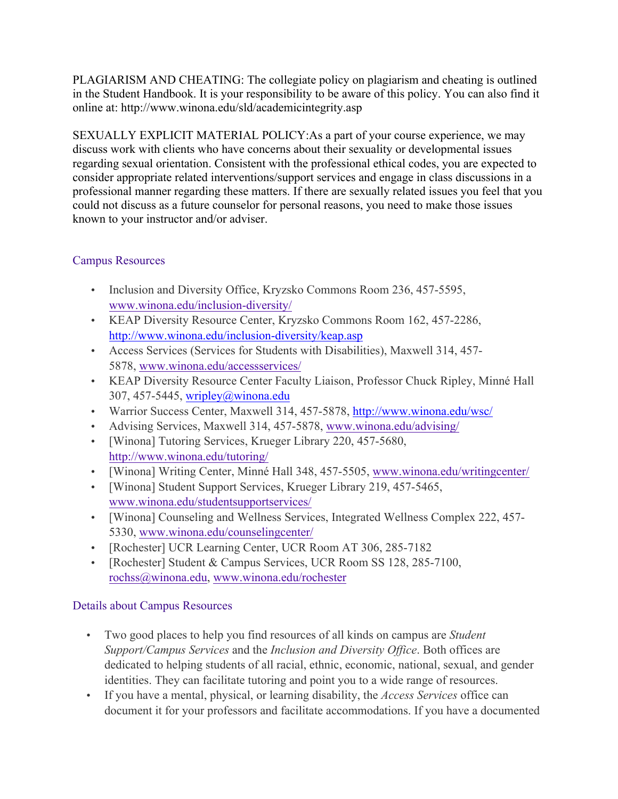PLAGIARISM AND CHEATING: The collegiate policy on plagiarism and cheating is outlined in the Student Handbook. It is your responsibility to be aware of this policy. You can also find it online at: http://www.winona.edu/sld/academicintegrity.asp

SEXUALLY EXPLICIT MATERIAL POLICY:As a part of your course experience, we may discuss work with clients who have concerns about their sexuality or developmental issues regarding sexual orientation. Consistent with the professional ethical codes, you are expected to consider appropriate related interventions/support services and engage in class discussions in a professional manner regarding these matters. If there are sexually related issues you feel that you could not discuss as a future counselor for personal reasons, you need to make those issues known to your instructor and/or adviser.

## Campus Resources

- Inclusion and Diversity Office, Kryzsko Commons Room 236, 457-5595, www.winona.edu/inclusion-diversity/
- KEAP Diversity Resource Center, Kryzsko Commons Room 162, 457-2286, http://www.winona.edu/inclusion-diversity/keap.asp
- Access Services (Services for Students with Disabilities), Maxwell 314, 457- 5878, www.winona.edu/accessservices/
- KEAP Diversity Resource Center Faculty Liaison, Professor Chuck Ripley, Minné Hall 307, 457-5445, wripley@winona.edu
- Warrior Success Center, Maxwell 314, 457-5878, http://www.winona.edu/wsc/
- Advising Services, Maxwell 314, 457-5878, www.winona.edu/advising/
- [Winona] Tutoring Services, Krueger Library 220, 457-5680, http://www.winona.edu/tutoring/
- [Winona] Writing Center, Minné Hall 348, 457-5505, www.winona.edu/writingcenter/
- [Winona] Student Support Services, Krueger Library 219, 457-5465, www.winona.edu/studentsupportservices/
- [Winona] Counseling and Wellness Services, Integrated Wellness Complex 222, 457- 5330, www.winona.edu/counselingcenter/
- [Rochester] UCR Learning Center, UCR Room AT 306, 285-7182
- [Rochester] Student & Campus Services, UCR Room SS 128, 285-7100, rochss@winona.edu, www.winona.edu/rochester

## Details about Campus Resources

- Two good places to help you find resources of all kinds on campus are *Student Support/Campus Services* and the *Inclusion and Diversity Office*. Both offices are dedicated to helping students of all racial, ethnic, economic, national, sexual, and gender identities. They can facilitate tutoring and point you to a wide range of resources.
- If you have a mental, physical, or learning disability, the *Access Services* office can document it for your professors and facilitate accommodations. If you have a documented